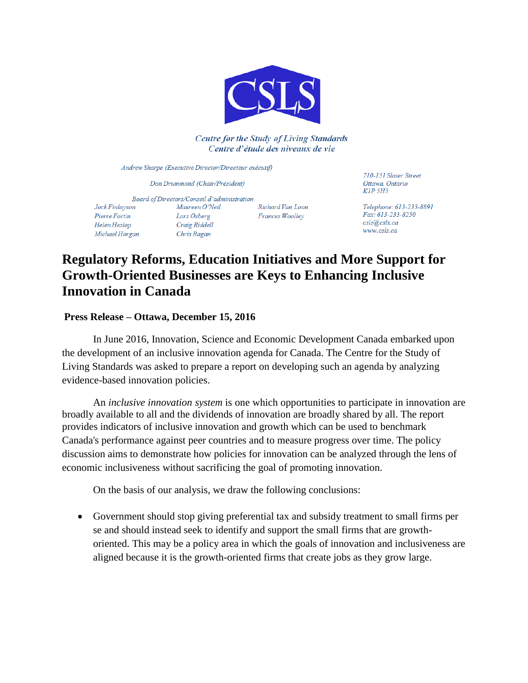

**Centre for the Study of Living Standards** Centre d'étude des niveaux de vie

Andrew Sharpe (Executive Director/Directeur exécutif)

Don Drummond (Chair/Président)

Board of Directors/Conseil d'administration Jock Finlayson Maureen O'Neil Richard Van Loon Pierre Fortin Lars Osberg Frances Woolley Craig Riddell Helen Heslop Chris Ragan Michael Horgan

710-151 Slater Street Ottawa, Ontario KIP 5H3

Telephone: 613-233-8891 Fax: 613-233-8250 csls@csls.ca www.csls.ca

## **Regulatory Reforms, Education Initiatives and More Support for Growth-Oriented Businesses are Keys to Enhancing Inclusive Innovation in Canada**

## **Press Release – Ottawa, December 15, 2016**

In June 2016, Innovation, Science and Economic Development Canada embarked upon the development of an inclusive innovation agenda for Canada. The Centre for the Study of Living Standards was asked to prepare a report on developing such an agenda by analyzing evidence-based innovation policies.

An *inclusive innovation system* is one which opportunities to participate in innovation are broadly available to all and the dividends of innovation are broadly shared by all. The report provides indicators of inclusive innovation and growth which can be used to benchmark Canada's performance against peer countries and to measure progress over time. The policy discussion aims to demonstrate how policies for innovation can be analyzed through the lens of economic inclusiveness without sacrificing the goal of promoting innovation.

On the basis of our analysis, we draw the following conclusions:

 Government should stop giving preferential tax and subsidy treatment to small firms per se and should instead seek to identify and support the small firms that are growthoriented. This may be a policy area in which the goals of innovation and inclusiveness are aligned because it is the growth-oriented firms that create jobs as they grow large.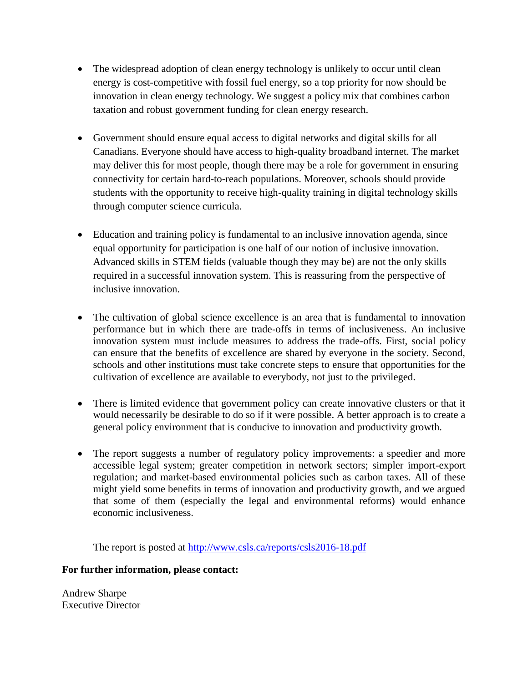- The widespread adoption of clean energy technology is unlikely to occur until clean energy is cost-competitive with fossil fuel energy, so a top priority for now should be innovation in clean energy technology. We suggest a policy mix that combines carbon taxation and robust government funding for clean energy research.
- Government should ensure equal access to digital networks and digital skills for all Canadians. Everyone should have access to high-quality broadband internet. The market may deliver this for most people, though there may be a role for government in ensuring connectivity for certain hard-to-reach populations. Moreover, schools should provide students with the opportunity to receive high-quality training in digital technology skills through computer science curricula.
- Education and training policy is fundamental to an inclusive innovation agenda, since equal opportunity for participation is one half of our notion of inclusive innovation. Advanced skills in STEM fields (valuable though they may be) are not the only skills required in a successful innovation system. This is reassuring from the perspective of inclusive innovation.
- The cultivation of global science excellence is an area that is fundamental to innovation performance but in which there are trade-offs in terms of inclusiveness. An inclusive innovation system must include measures to address the trade-offs. First, social policy can ensure that the benefits of excellence are shared by everyone in the society. Second, schools and other institutions must take concrete steps to ensure that opportunities for the cultivation of excellence are available to everybody, not just to the privileged.
- There is limited evidence that government policy can create innovative clusters or that it would necessarily be desirable to do so if it were possible. A better approach is to create a general policy environment that is conducive to innovation and productivity growth.
- The report suggests a number of regulatory policy improvements: a speedier and more accessible legal system; greater competition in network sectors; simpler import-export regulation; and market-based environmental policies such as carbon taxes. All of these might yield some benefits in terms of innovation and productivity growth, and we argued that some of them (especially the legal and environmental reforms) would enhance economic inclusiveness.

The report is posted at <http://www.csls.ca/reports/csls2016-18.pdf>

## **For further information, please contact:**

Andrew Sharpe Executive Director